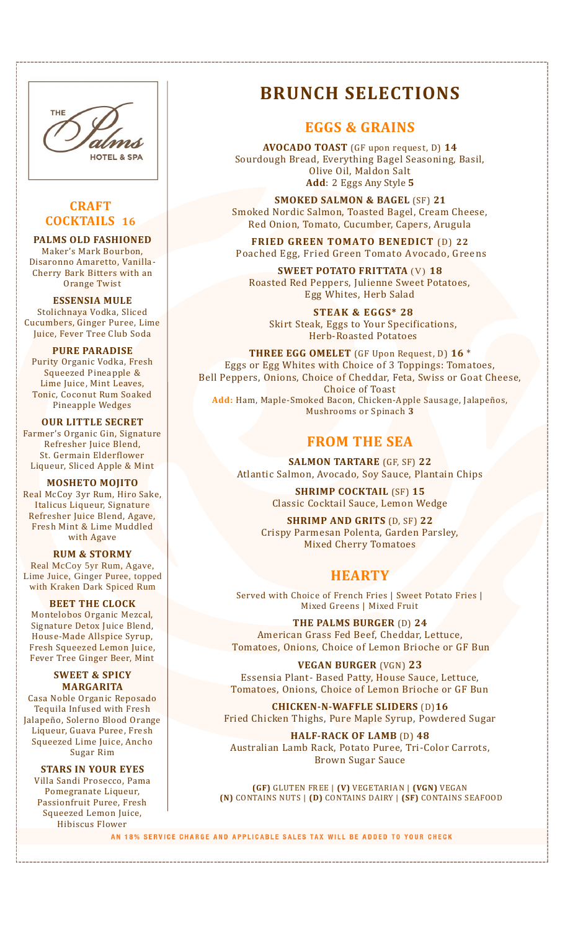

## **CRAFT COCKTAILS 16**

**PALMS OLD FASHIONED**  Maker's Mark Bourbon, Disaronno Amaretto, Vanilla-Cherry Bark Bitters with an Orange Twist

**ESSENSIA MULE** Stolichnaya Vodka, Sliced Cucumbers, Ginger Puree, Lime Juice, Fever Tree Club Soda

**PURE PARADISE** Purity Organic Vodka, Fresh Squeezed Pineapple & Lime Juice, Mint Leaves, Tonic, Coconut Rum Soaked Pineapple Wedges

**OUR LITTLE SECRET** Farmer's Organic Gin, Signature Refresher Juice Blend, St. Germain Elderflower Liqueur, Sliced Apple & Mint

**MOSHETO MOJITO** Real McCoy 3yr Rum, Hiro Sake, Italicus Liqueur, Signature Refresher Juice Blend, Agave, Fresh Mint & Lime Muddled with Agave

**RUM & STORMY**  Real McCoy 5yr Rum, Agave, Lime Juice, Ginger Puree, topped with Kraken Dark Spiced Rum

**BEET THE CLOCK** Montelobos Organic Mezcal, Signature Detox Juice Blend, House-Made Allspice Syrup, Fresh Squeezed Lemon Juice, Fever Tree Ginger Beer, Mint

**SWEET & SPICY MARGARITA** Casa Noble Organic Reposado Tequila Infused with Fresh Jalapeño, Solerno Blood Orange Liqueur, Guava Puree, Fresh Squeezed Lime Juice, Ancho Sugar Rim

**STARS IN YOUR EYES** Villa Sandi Prosecco, Pama Pomegranate Liqueur, Passionfruit Puree, Fresh Squeezed Lemon Juice, Hibiscus Flower

# **BRUNCH SELECTIONS**

## **EGGS & GRAINS**

**AVOCADO TOAST** (GF upon request, D) **14** Sourdough Bread, Everything Bagel Seasoning, Basil, Olive Oil, Maldon Salt **Add**: 2 Eggs Any Style **5**

**SMOKED SALMON & BAGEL** (SF) **21** Smoked Nordic Salmon, Toasted Bagel, Cream Cheese, Red Onion, Tomato, Cucumber, Capers, Arugula

**FRIED GREEN TOMATO BENEDICT** (D) **22** Poached Egg, Fried Green Tomato Avocado, Greens

**SWEET POTATO FRITTATA** (V) **18** Roasted Red Peppers, Julienne Sweet Potatoes, Egg Whites, Herb Salad

**STEAK & EGGS\* 28** Skirt Steak, Eggs to Your Specifications, Herb-Roasted Potatoes

**THREE EGG OMELET** (GF Upon Request, D) **16** \* Eggs or Egg Whites with Choice of 3 Toppings: Tomatoes, Bell Peppers, Onions, Choice of Cheddar, Feta, Swiss or Goat Cheese, Choice of Toast **Add:** Ham, Maple-Smoked Bacon, Chicken-Apple Sausage, Jalapeños, Mushrooms or Spinach **3**

# **FROM THE SEA**

**SALMON TARTARE** (GF, SF) **22** Atlantic Salmon, Avocado, Soy Sauce, Plantain Chips

> **SHRIMP COCKTAIL** (SF) **15** Classic Cocktail Sauce, Lemon Wedge

**SHRIMP AND GRITS** (D, SF) **22** Crispy Parmesan Polenta, Garden Parsley, Mixed Cherry Tomatoes

# **HEARTY**

Served with Choice of French Fries | Sweet Potato Fries | Mixed Greens | Mixed Fruit

**THE PALMS BURGER** (D) **24** American Grass Fed Beef, Cheddar, Lettuce, Tomatoes, Onions, Choice of Lemon Brioche or GF Bun

**VEGAN BURGER** (VGN) **23** Essensia Plant- Based Patty, House Sauce, Lettuce, Tomatoes, Onions, Choice of Lemon Brioche or GF Bun

**CHICKEN-N-WAFFLE SLIDERS** (D)**16** Fried Chicken Thighs, Pure Maple Syrup, Powdered Sugar

**HALF-RACK OF LAMB** (D) **48** Australian Lamb Rack, Potato Puree, Tri-Color Carrots, Brown Sugar Sauce

**(GF)** GLUTEN FREE | **(V)** VEGETARIAN | **(VGN)** VEGAN **(N)** CONTAINS NUTS | **(D)** CONTAINS DAIRY | **(SF)** CONTAINS SEAFOOD

AN 18% SERVICE CHARGE AND APPLICABLE SALES TAX WILL BE ADDED TO YOUR CHECK